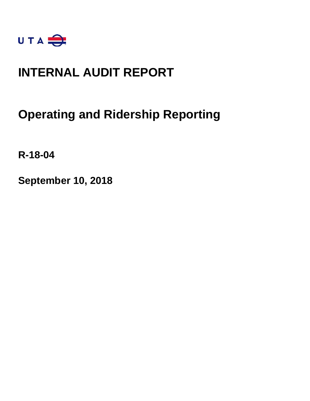

## **INTERNAL AUDIT REPORT**

### **Operating and Ridership Reporting**

**R-18-04**

**September 10, 2018**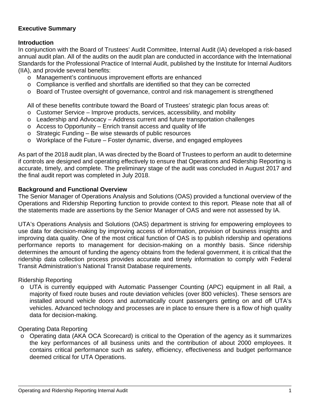### **Executive Summary**

### **Introduction**

In conjunction with the Board of Trustees' Audit Committee, Internal Audit (IA) developed a risk-based annual audit plan. All of the audits on the audit plan are conducted in accordance with the International Standards for the Professional Practice of Internal Audit, published by the Institute for Internal Auditors (IIA), and provide several benefits:

- o Management's continuous improvement efforts are enhanced
- o Compliance is verified and shortfalls are identified so that they can be corrected
- o Board of Trustee oversight of governance, control and risk management is strengthened

All of these benefits contribute toward the Board of Trustees' strategic plan focus areas of:

- o Customer Service Improve products, services, accessibility, and mobility
- o Leadership and Advocacy Address current and future transportation challenges
- $\circ$  Access to Opportunity Enrich transit access and quality of life
- o Strategic Funding Be wise stewards of public resources
- o Workplace of the Future Foster dynamic, diverse, and engaged employees

As part of the 2018 audit plan, IA was directed by the Board of Trustees to perform an audit to determine if controls are designed and operating effectively to ensure that Operations and Ridership Reporting is accurate, timely, and complete. The preliminary stage of the audit was concluded in August 2017 and the final audit report was completed in July 2018.

#### **Background and Functional Overview**

The Senior Manager of Operations Analysis and Solutions (OAS) provided a functional overview of the Operations and Ridership Reporting function to provide context to this report. Please note that all of the statements made are assertions by the Senior Manager of OAS and were not assessed by IA.

UTA's Operations Analysis and Solutions (OAS) department is striving for empowering employees to use data for decision-making by improving access of information, provision of business insights and improving data quality. One of the most critical function of OAS is to publish ridership and operations performance reports to management for decision-making on a monthly basis. Since ridership determines the amount of funding the agency obtains from the federal government, it is critical that the ridership data collection process provides accurate and timely information to comply with Federal Transit Administration's National Transit Database requirements.

Ridership Reporting

o UTA is currently equipped with Automatic Passenger Counting (APC) equipment in all Rail, a majority of fixed route buses and route deviation vehicles (over 800 vehicles). These sensors are installed around vehicle doors and automatically count passengers getting on and off UTA's vehicles. Advanced technology and processes are in place to ensure there is a flow of high quality data for decision-making.

### Operating Data Reporting

o Operating data (AKA OCA Scorecard) is critical to the Operation of the agency as it summarizes the key performances of all business units and the contribution of about 2000 employees. It contains critical performance such as safety, efficiency, effectiveness and budget performance deemed critical for UTA Operations.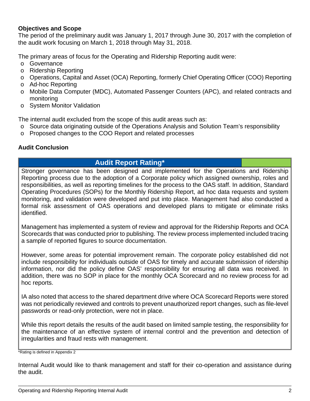### **Objectives and Scope**

The period of the preliminary audit was January 1, 2017 through June 30, 2017 with the completion of the audit work focusing on March 1, 2018 through May 31, 2018.

The primary areas of focus for the Operating and Ridership Reporting audit were:

- o Governance
- o Ridership Reporting
- o Operations, Capital and Asset (OCA) Reporting, formerly Chief Operating Officer (COO) Reporting
- o Ad-hoc Reporting
- o Mobile Data Computer (MDC), Automated Passenger Counters (APC), and related contracts and monitoring
- o System Monitor Validation

The internal audit excluded from the scope of this audit areas such as:

- o Source data originating outside of the Operations Analysis and Solution Team's responsibility
- o Proposed changes to the COO Report and related processes

### **Audit Conclusion**

### **Audit Report Rating\***

Stronger governance has been designed and implemented for the Operations and Ridership Reporting process due to the adoption of a Corporate policy which assigned ownership, roles and responsibilities, as well as reporting timelines for the process to the OAS staff. In addition, Standard Operating Procedures (SOPs) for the Monthly Ridership Report, ad hoc data requests and system monitoring, and validation were developed and put into place. Management had also conducted a formal risk assessment of OAS operations and developed plans to mitigate or eliminate risks identified.

Management has implemented a system of review and approval for the Ridership Reports and OCA Scorecards that was conducted prior to publishing. The review process implemented included tracing a sample of reported figures to source documentation.

However, some areas for potential improvement remain. The corporate policy established did not include responsibility for individuals outside of OAS for timely and accurate submission of ridership information, nor did the policy define OAS' responsibility for ensuring all data was received. In addition, there was no SOP in place for the monthly OCA Scorecard and no review process for ad hoc reports.

IA also noted that access to the shared department drive where OCA Scorecard Reports were stored was not periodically reviewed and controls to prevent unauthorized report changes, such as file-level passwords or read-only protection, were not in place.

While this report details the results of the audit based on limited sample testing, the responsibility for the maintenance of an effective system of internal control and the prevention and detection of irregularities and fraud rests with management.

\*Rating is defined in Appendix 2

Internal Audit would like to thank management and staff for their co-operation and assistance during the audit.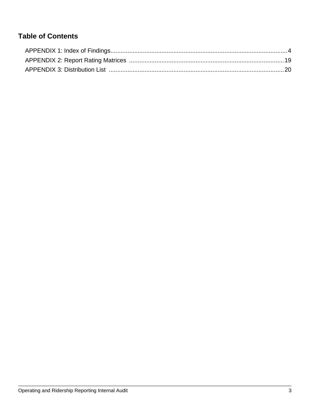### **Table of Contents**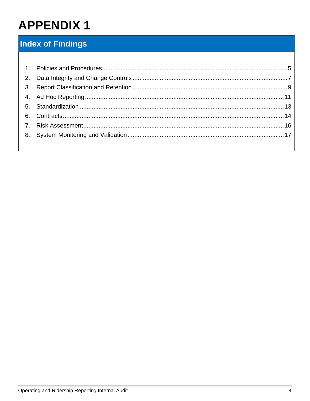### <span id="page-4-0"></span>**Index of Findings**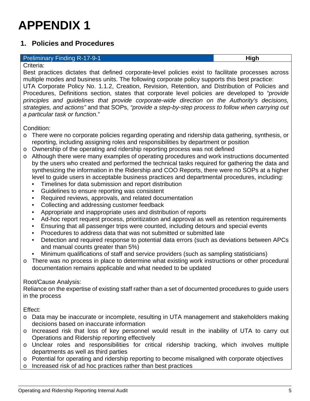### <span id="page-5-0"></span>**1. Policies and Procedures**

#### **Preliminary Finding R-17-9-1 High High High**

Criteria:

Best practices dictates that defined corporate-level policies exist to facilitate processes across multiple modes and business units. The following corporate policy supports this best practice:

UTA Corporate Policy No. 1.1.2, Creation, Revision, Retention, and Distribution of Policies and Procedures, Definitions section, states that corporate level policies are developed to *"provide principles and guidelines that provide corporate-wide direction on the Authority's decisions, strategies, and actions"* and that SOPs, *"provide a step-by-step process to follow when carrying out a particular task or function.*"

Condition:

- o There were no corporate policies regarding operating and ridership data gathering, synthesis, or reporting, including assigning roles and responsibilities by department or position
- $\circ$  Ownership of the operating and ridership reporting process was not defined
- o Although there were many examples of operating procedures and work instructions documented by the users who created and performed the technical tasks required for gathering the data and synthesizing the information in the Ridership and COO Reports, there were no SOPs at a higher level to guide users in acceptable business practices and departmental procedures, including:
	- Timelines for data submission and report distribution
	- Guidelines to ensure reporting was consistent
	- Required reviews, approvals, and related documentation
	- Collecting and addressing customer feedback
	- Appropriate and inappropriate uses and distribution of reports
	- Ad-hoc report request process, prioritization and approval as well as retention requirements
	- Ensuring that all passenger trips were counted, including detours and special events
	- Procedures to address data that was not submitted or submitted late
	- Detection and required response to potential data errors (such as deviations between APCs and manual counts greater than 5%)
	- Minimum qualifications of staff and service providers (such as sampling statisticians)
- o There was no process in place to determine what existing work instructions or other procedural documentation remains applicable and what needed to be updated

### Root/Cause Analysis:

Reliance on the expertise of existing staff rather than a set of documented procedures to guide users in the process

Effect:

- o Data may be inaccurate or incomplete, resulting in UTA management and stakeholders making decisions based on inaccurate information
- o Increased risk that loss of key personnel would result in the inability of UTA to carry out Operations and Ridership reporting effectively
- o Unclear roles and responsibilities for critical ridership tracking, which involves multiple departments as well as third parties
- o Potential for operating and ridership reporting to become misaligned with corporate objectives
- o Increased risk of ad hoc practices rather than best practices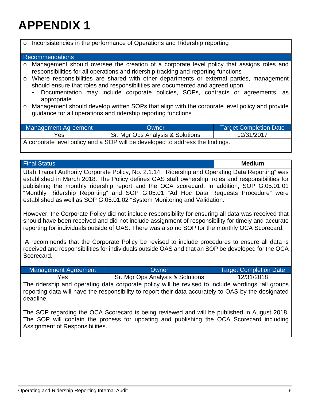| $\circ$ | Inconsistencies in the performance of Operations and Ridership reporting                                                                                                 |                                                                                                                                                                                 |                               |
|---------|--------------------------------------------------------------------------------------------------------------------------------------------------------------------------|---------------------------------------------------------------------------------------------------------------------------------------------------------------------------------|-------------------------------|
|         | <b>Recommendations</b>                                                                                                                                                   |                                                                                                                                                                                 |                               |
| $\circ$ |                                                                                                                                                                          | Management should oversee the creation of a corporate level policy that assigns roles and<br>responsibilities for all operations and ridership tracking and reporting functions |                               |
| $\circ$ | Where responsibilities are shared with other departments or external parties, management<br>should ensure that roles and responsibilities are documented and agreed upon |                                                                                                                                                                                 |                               |
|         | Documentation may include corporate policies, SOPs, contracts or agreements, as<br>$\bullet$<br>appropriate                                                              |                                                                                                                                                                                 |                               |
| $\circ$ |                                                                                                                                                                          | Management should develop written SOPs that align with the corporate level policy and provide<br>guidance for all operations and ridership reporting functions                  |                               |
|         | Management Agreement                                                                                                                                                     | <b>Owner</b>                                                                                                                                                                    | <b>Target Completion Date</b> |
|         | Yes                                                                                                                                                                      | Sr. Mgr Ops Analysis & Solutions                                                                                                                                                | 12/31/2017                    |
|         | A garnarate lavel police who contact will be developed to address the findings                                                                                           |                                                                                                                                                                                 |                               |

A corporate level policy and a SOP will be developed to address the findings.

| <b>Final Status</b>                                                                               | <b>Medium</b> |
|---------------------------------------------------------------------------------------------------|---------------|
| Utah Transit Authority Corporate Policy, No. 2.1.14, "Ridership and Operating Data Reporting" was |               |
| established in March 2018. The Policy defines OAS staff ownership, roles and responsibilities for |               |
| publishing the monthly ridership report and the OCA scorecard. In addition, SOP G.05.01.01        |               |
| "Monthly Ridership Reporting" and SOP G.05.01 "Ad Hoc Data Requests Procedure" were               |               |
| established as well as SOP G.05.01.02 "System Monitoring and Validation."                         |               |

However, the Corporate Policy did not include responsibility for ensuring all data was received that should have been received and did not include assignment of responsibility for timely and accurate reporting for individuals outside of OAS. There was also no SOP for the monthly OCA Scorecard.

IA recommends that the Corporate Policy be revised to include procedures to ensure all data is received and responsibilities for individuals outside OAS and that an SOP be developed for the OCA Scorecard.

| Management Agreement | Owner                            | Target Completion Date |
|----------------------|----------------------------------|------------------------|
| Yes                  | Sr. Mgr Ops Analysis & Solutions | 12/31/2018             |

The ridership and operating data corporate policy will be revised to include wordings "all groups reporting data will have the responsibility to report their data accurately to OAS by the designated deadline.

The SOP regarding the OCA Scorecard is being reviewed and will be published in August 2018. The SOP will contain the process for updating and publishing the OCA Scorecard including Assignment of Responsibilities.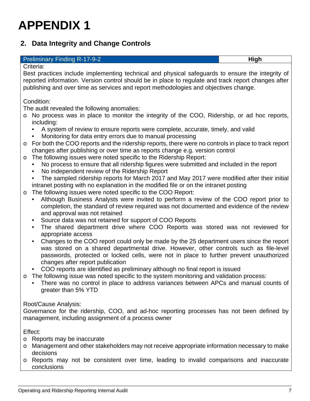### <span id="page-7-0"></span>**2. Data Integrity and Change Controls**

#### **Preliminary Finding R-17-9-2 High High High**

Criteria:

Best practices include implementing technical and physical safeguards to ensure the integrity of reported information. Version control should be in place to regulate and track report changes after publishing and over time as services and report methodologies and objectives change.

#### Condition:

The audit revealed the following anomalies:

- o No process was in place to monitor the integrity of the COO, Ridership, or ad hoc reports, including:
	- A system of review to ensure reports were complete, accurate, timely, and valid
	- Monitoring for data entry errors due to manual processing
- o For both the COO reports and the ridership reports, there were no controls in place to track report changes after publishing or over time as reports change e.g. version control
- o The following issues were noted specific to the Ridership Report:<br>No process to ensure that all ridership figures were submitted
	- No process to ensure that all ridership figures were submitted and included in the report
	- No independent review of the Ridership Report
	- The sampled ridership reports for March 2017 and May 2017 were modified after their initial intranet posting with no explanation in the modified file or on the intranet posting
- o The following issues were noted specific to the COO Report:
	- Although Business Analysts were invited to perform a review of the COO report prior to completion, the standard of review required was not documented and evidence of the review and approval was not retained
	- Source data was not retained for support of COO Reports
	- The shared department drive where COO Reports was stored was not reviewed for appropriate access
	- Changes to the COO report could only be made by the 25 department users since the report was stored on a shared departmental drive. However, other controls such as file-level passwords, protected or locked cells, were not in place to further prevent unauthorized changes after report publication
	- COO reports are identified as preliminary although no final report is issued
- $\circ$  The following issue was noted specific to the system monitoring and validation process:
	- There was no control in place to address variances between APCs and manual counts of greater than 5% YTD

### Root/Cause Analysis:

Governance for the ridership, COO, and ad-hoc reporting processes has not been defined by management, including assignment of a process owner

Effect:

- o Reports may be inaccurate
- o Management and other stakeholders may not receive appropriate information necessary to make decisions
- o Reports may not be consistent over time, leading to invalid comparisons and inaccurate conclusions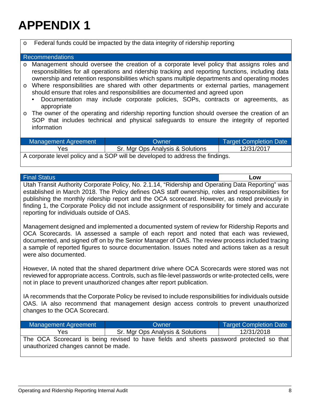| $\circ$                         | Federal funds could be impacted by the data integrity of ridership reporting                                                                                                                                                                                                                                                                                                                                                                                                                                                                                                   |                                  |                               |
|---------------------------------|--------------------------------------------------------------------------------------------------------------------------------------------------------------------------------------------------------------------------------------------------------------------------------------------------------------------------------------------------------------------------------------------------------------------------------------------------------------------------------------------------------------------------------------------------------------------------------|----------------------------------|-------------------------------|
| <b>Recommendations</b>          |                                                                                                                                                                                                                                                                                                                                                                                                                                                                                                                                                                                |                                  |                               |
| $\circ$<br>$\circ$<br>$\bullet$ | Management should oversee the creation of a corporate level policy that assigns roles and<br>responsibilities for all operations and ridership tracking and reporting functions, including data<br>ownership and retention responsibilities which spans multiple departments and operating modes<br>Where responsibilities are shared with other departments or external parties, management<br>should ensure that roles and responsibilities are documented and agreed upon<br>Documentation may include corporate policies, SOPs, contracts or agreements, as<br>appropriate |                                  |                               |
| $\circ$                         | The owner of the operating and ridership reporting function should oversee the creation of an<br>SOP that includes technical and physical safeguards to ensure the integrity of reported<br>information                                                                                                                                                                                                                                                                                                                                                                        |                                  |                               |
|                                 | <b>Management Agreement</b>                                                                                                                                                                                                                                                                                                                                                                                                                                                                                                                                                    | Owner                            | <b>Target Completion Date</b> |
|                                 | Yes                                                                                                                                                                                                                                                                                                                                                                                                                                                                                                                                                                            | Sr. Mgr Ops Analysis & Solutions | 12/31/2017                    |

A corporate level policy and a SOP will be developed to address the findings.

| <b>Final Status</b> |
|---------------------|
|                     |

Final Status **Low** Utah Transit Authority Corporate Policy, No. 2.1.14, "Ridership and Operating Data Reporting" was established in March 2018. The Policy defines OAS staff ownership, roles and responsibilities for publishing the monthly ridership report and the OCA scorecard. However, as noted previously in finding 1, the Corporate Policy did not include assignment of responsibility for timely and accurate reporting for individuals outside of OAS.

Management designed and implemented a documented system of review for Ridership Reports and OCA Scorecards. IA assessed a sample of each report and noted that each was reviewed, documented, and signed off on by the Senior Manager of OAS. The review process included tracing a sample of reported figures to source documentation. Issues noted and actions taken as a result were also documented.

However, IA noted that the shared department drive where OCA Scorecards were stored was not reviewed for appropriate access. Controls, such as file-level passwords or write-protected cells, were not in place to prevent unauthorized changes after report publication.

IA recommends that the Corporate Policy be revised to include responsibilities for individuals outside OAS. IA also recommend that management design access controls to prevent unauthorized changes to the OCA Scorecard.

| Management Agreement                 | Owner                                                                                   | Target Completion Date |
|--------------------------------------|-----------------------------------------------------------------------------------------|------------------------|
| Yes                                  | Sr. Mgr Ops Analysis & Solutions                                                        | 12/31/2018             |
| unauthorized changes cannot be made. | The OCA Scorecard is being revised to have fields and sheets password protected so that |                        |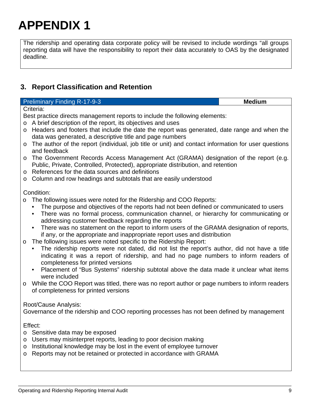The ridership and operating data corporate policy will be revised to include wordings "all groups reporting data will have the responsibility to report their data accurately to OAS by the designated deadline.

### <span id="page-9-0"></span>**3. Report Classification and Retention**

| <b>Preliminary Finding R-17-9-3</b>                                                                                                                                                                                                                                                                                               | <b>Medium</b> |
|-----------------------------------------------------------------------------------------------------------------------------------------------------------------------------------------------------------------------------------------------------------------------------------------------------------------------------------|---------------|
| Criteria:                                                                                                                                                                                                                                                                                                                         |               |
| Best practice directs management reports to include the following elements:                                                                                                                                                                                                                                                       |               |
| $\circ$ A brief description of the report, its objectives and uses                                                                                                                                                                                                                                                                |               |
| o Headers and footers that include the date the report was generated, date range and when the<br>data was generated, a descriptive title and page numbers                                                                                                                                                                         |               |
| o The author of the report (individual, job title or unit) and contact information for user questions<br>and feedback                                                                                                                                                                                                             |               |
| o The Government Records Access Management Act (GRAMA) designation of the report (e.g.<br>Public, Private, Controlled, Protected), appropriate distribution, and retention                                                                                                                                                        |               |
| o References for the data sources and definitions                                                                                                                                                                                                                                                                                 |               |
| o Column and row headings and subtotals that are easily understood                                                                                                                                                                                                                                                                |               |
| Condition:                                                                                                                                                                                                                                                                                                                        |               |
| $\circ$ The following issues were noted for the Ridership and COO Reports:<br>The purpose and objectives of the reports had not been defined or communicated to users<br>There was no formal process, communication channel, or hierarchy for communicating or<br>$\bullet$<br>addressing customer feedback regarding the reports |               |

- There was no statement on the report to inform users of the GRAMA designation of reports, if any, or the appropriate and inappropriate report uses and distribution
- o The following issues were noted specific to the Ridership Report:
	- The ridership reports were not dated, did not list the report's author, did not have a title indicating it was a report of ridership, and had no page numbers to inform readers of completeness for printed versions
	- Placement of "Bus Systems" ridership subtotal above the data made it unclear what items were included
- o While the COO Report was titled, there was no report author or page numbers to inform readers of completeness for printed versions

### Root/Cause Analysis:

Governance of the ridership and COO reporting processes has not been defined by management

Effect:

- o Sensitive data may be exposed
- o Users may misinterpret reports, leading to poor decision making
- $\circ$  Institutional knowledge may be lost in the event of employee turnover
- o Reports may not be retained or protected in accordance with GRAMA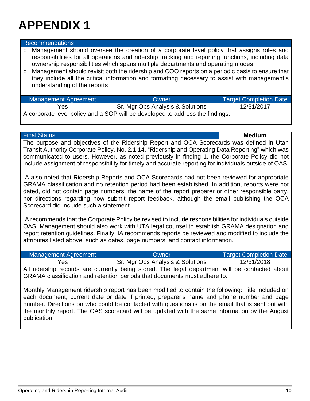#### Recommendations

o Management should oversee the creation of a corporate level policy that assigns roles and responsibilities for all operations and ridership tracking and reporting functions, including data ownership responsibilities which spans multiple departments and operating modes

o Management should revisit both the ridership and COO reports on a periodic basis to ensure that they include all the critical information and formatting necessary to assist with management's understanding of the reports

| Management Agreement                                                         | Owner                            | <b>Target Completion Date</b> |
|------------------------------------------------------------------------------|----------------------------------|-------------------------------|
| Yes                                                                          | Sr. Mgr Ops Analysis & Solutions | 12/31/2017                    |
| A carpenter lavel policy and a SOD will be developed to address the findings |                                  |                               |

A corporate level policy and a SOP will be developed to address the findings.

| <b>Final Status</b>                                                                                                                                                                                                                                                                                                                                                                                                                                                                                                                                                                                                                                                                                                                                                                                                                             |                                  | <b>Medium</b>                 |
|-------------------------------------------------------------------------------------------------------------------------------------------------------------------------------------------------------------------------------------------------------------------------------------------------------------------------------------------------------------------------------------------------------------------------------------------------------------------------------------------------------------------------------------------------------------------------------------------------------------------------------------------------------------------------------------------------------------------------------------------------------------------------------------------------------------------------------------------------|----------------------------------|-------------------------------|
| The purpose and objectives of the Ridership Report and OCA Scorecards was defined in Utah<br>Transit Authority Corporate Policy, No. 2.1.14, "Ridership and Operating Data Reporting" which was<br>communicated to users. However, as noted previously in finding 1, the Corporate Policy did not<br>include assignment of responsibility for timely and accurate reporting for individuals outside of OAS.                                                                                                                                                                                                                                                                                                                                                                                                                                     |                                  |                               |
| IA also noted that Ridership Reports and OCA Scorecards had not been reviewed for appropriate<br>GRAMA classification and no retention period had been established. In addition, reports were not<br>dated, did not contain page numbers, the name of the report preparer or other responsible party,<br>nor directions regarding how submit report feedback, although the email publishing the OCA<br>Scorecard did include such a statement.<br>IA recommends that the Corporate Policy be revised to include responsibilities for individuals outside<br>OAS. Management should also work with UTA legal counsel to establish GRAMA designation and<br>report retention guidelines. Finally, IA recommends reports be reviewed and modified to include the<br>attributes listed above, such as dates, page numbers, and contact information. |                                  |                               |
| <b>Management Agreement</b>                                                                                                                                                                                                                                                                                                                                                                                                                                                                                                                                                                                                                                                                                                                                                                                                                     | Owner                            | <b>Target Completion Date</b> |
| Yes                                                                                                                                                                                                                                                                                                                                                                                                                                                                                                                                                                                                                                                                                                                                                                                                                                             | Sr. Mgr Ops Analysis & Solutions | 12/31/2018                    |
| All ridership records are currently being stored. The legal department will be contacted about<br>GRAMA classification and retention periods that documents must adhere to.                                                                                                                                                                                                                                                                                                                                                                                                                                                                                                                                                                                                                                                                     |                                  |                               |
| Monthly Management ridership report has been modified to contain the following: Title included on<br>each document, current date or date if printed, preparer's name and phone number and page<br>number. Directions on who could be contacted with questions is on the email that is sent out with<br>the monthly report. The OAS scorecard will be updated with the same information by the August<br>publication.                                                                                                                                                                                                                                                                                                                                                                                                                            |                                  |                               |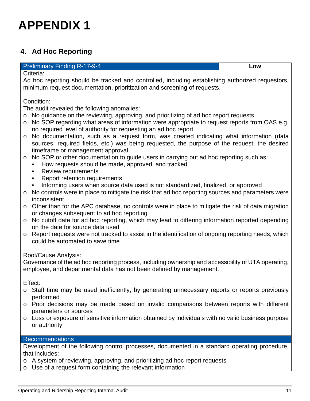### <span id="page-11-0"></span>**4. Ad Hoc Reporting**

#### Preliminary Finding R-17-9-4 **Low**

Criteria:

Ad hoc reporting should be tracked and controlled, including establishing authorized requestors, minimum request documentation, prioritization and screening of requests.

Condition:

The audit revealed the following anomalies:

- o No guidance on the reviewing, approving, and prioritizing of ad hoc report requests
- o No SOP regarding what areas of information were appropriate to request reports from OAS e.g. no required level of authority for requesting an ad hoc report
- o No documentation, such as a request form, was created indicating what information (data sources, required fields, etc.) was being requested, the purpose of the request, the desired timeframe or management approval
- o No SOP or other documentation to guide users in carrying out ad hoc reporting such as:
	- How requests should be made, approved, and tracked
		- Review requirements
		- Report retention requirements
		- Informing users when source data used is not standardized, finalized, or approved
- o No controls were in place to mitigate the risk that ad hoc reporting sources and parameters were inconsistent
- o Other than for the APC database, no controls were in place to mitigate the risk of data migration or changes subsequent to ad hoc reporting
- o No cutoff date for ad hoc reporting, which may lead to differing information reported depending on the date for source data used
- o Report requests were not tracked to assist in the identification of ongoing reporting needs, which could be automated to save time

Root/Cause Analysis:

Governance of the ad hoc reporting process, including ownership and accessibility of UTA operating, employee, and departmental data has not been defined by management.

Effect:

- o Staff time may be used inefficiently, by generating unnecessary reports or reports previously performed
- o Poor decisions may be made based on invalid comparisons between reports with different parameters or sources
- o Loss or exposure of sensitive information obtained by individuals with no valid business purpose or authority

### Recommendations

Development of the following control processes, documented in a standard operating procedure, that includes:

- o A system of reviewing, approving, and prioritizing ad hoc report requests
- o Use of a request form containing the relevant information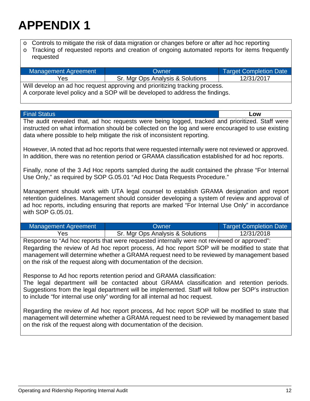o Controls to mitigate the risk of data migration or changes before or after ad hoc reporting

o Tracking of requested reports and creation of ongoing automated reports for items frequently requested

| Management Agreement                                                                                                                                         | Owner                            | <b>Target Completion Date</b> |
|--------------------------------------------------------------------------------------------------------------------------------------------------------------|----------------------------------|-------------------------------|
| Yes                                                                                                                                                          | Sr. Mgr Ops Analysis & Solutions | 12/31/2017                    |
| Will develop an ad hoc request approving and prioritizing tracking process.<br>A corporate level policy and a SOP will be developed to address the findings. |                                  |                               |

| <b>Final Status</b>                                                                                                                                                                                                                                                                                                                                                |                                                                                                                                                                                                           | Low                           |
|--------------------------------------------------------------------------------------------------------------------------------------------------------------------------------------------------------------------------------------------------------------------------------------------------------------------------------------------------------------------|-----------------------------------------------------------------------------------------------------------------------------------------------------------------------------------------------------------|-------------------------------|
| The audit revealed that, ad hoc requests were being logged, tracked and prioritized. Staff were<br>instructed on what information should be collected on the log and were encouraged to use existing<br>data where possible to help mitigate the risk of inconsistent reporting.                                                                                   |                                                                                                                                                                                                           |                               |
|                                                                                                                                                                                                                                                                                                                                                                    | However, IA noted that ad hoc reports that were requested internally were not reviewed or approved.<br>In addition, there was no retention period or GRAMA classification established for ad hoc reports. |                               |
|                                                                                                                                                                                                                                                                                                                                                                    | Finally, none of the 3 Ad Hoc reports sampled during the audit contained the phrase "For Internal<br>Use Only," as required by SOP G.05.01 "Ad Hoc Data Requests Procedure."                              |                               |
| Management should work with UTA legal counsel to establish GRAMA designation and report<br>retention guidelines. Management should consider developing a system of review and approval of<br>ad hoc reports, including ensuring that reports are marked "For Internal Use Only" in accordance<br>with SOP G.05.01.                                                 |                                                                                                                                                                                                           |                               |
| <b>Management Agreement</b>                                                                                                                                                                                                                                                                                                                                        | Owner                                                                                                                                                                                                     | <b>Target Completion Date</b> |
| Yes                                                                                                                                                                                                                                                                                                                                                                | Sr. Mgr Ops Analysis & Solutions                                                                                                                                                                          | 12/31/2018                    |
| Response to "Ad hoc reports that were requested internally were not reviewed or approved":<br>Regarding the review of Ad hoc report process, Ad hoc report SOP will be modified to state that<br>management will determine whether a GRAMA request need to be reviewed by management based<br>on the risk of the request along with documentation of the decision. |                                                                                                                                                                                                           |                               |
| Response to Ad hoc reports retention period and GRAMA classification:<br>The legal department will be contacted about GRAMA classification and retention periods.<br>Suggestions from the legal department will be implemented. Staff will follow per SOP's instruction<br>to include "for internal use only" wording for all internal ad hoc request.             |                                                                                                                                                                                                           |                               |
| Regarding the review of Ad hoc report process, Ad hoc report SOP will be modified to state that<br>management will determine whether a GRAMA request need to be reviewed by management based<br>on the risk of the request along with documentation of the decision.                                                                                               |                                                                                                                                                                                                           |                               |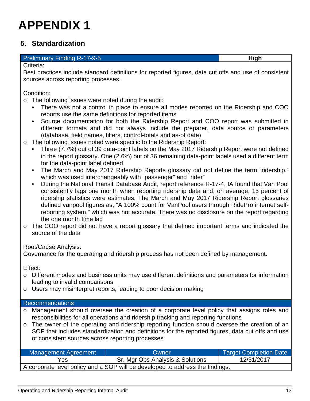### <span id="page-13-0"></span>**5. Standardization**

#### Preliminary Finding R-17-9-5 **High**

Criteria:

Best practices include standard definitions for reported figures, data cut offs and use of consistent sources across reporting processes.

Condition:

- o The following issues were noted during the audit:
	- There was not a control in place to ensure all modes reported on the Ridership and COO reports use the same definitions for reported items
	- Source documentation for both the Ridership Report and COO report was submitted in different formats and did not always include the preparer, data source or parameters (database, field names, filters, control-totals and as-of date)
- o The following issues noted were specific to the Ridership Report:
	- Three (7.7%) out of 39 data-point labels on the May 2017 Ridership Report were not defined in the report glossary. One (2.6%) out of 36 remaining data-point labels used a different term for the data-point label defined
	- The March and May 2017 Ridership Reports glossary did not define the term "ridership," which was used interchangeably with "passenger" and "rider"
	- During the National Transit Database Audit, report reference R-17-4, IA found that Van Pool consistently lags one month when reporting ridership data and, on average, 15 percent of ridership statistics were estimates. The March and May 2017 Ridership Report glossaries defined vanpool figures as, "A 100% count for VanPool users through RidePro internet selfreporting system," which was not accurate. There was no disclosure on the report regarding the one month time lag
- o The COO report did not have a report glossary that defined important terms and indicated the source of the data

Root/Cause Analysis:

Governance for the operating and ridership process has not been defined by management.

Effect:

- o Different modes and business units may use different definitions and parameters for information leading to invalid comparisons
- o Users may misinterpret reports, leading to poor decision making

#### Recommendations

- o Management should oversee the creation of a corporate level policy that assigns roles and responsibilities for all operations and ridership tracking and reporting functions
- o The owner of the operating and ridership reporting function should oversee the creation of an SOP that includes standardization and definitions for the reported figures, data cut offs and use of consistent sources across reporting processes

| Management Agreement                                                          | Owner                            | <b>Target Completion Date</b> |
|-------------------------------------------------------------------------------|----------------------------------|-------------------------------|
| Yes                                                                           | Sr. Mgr Ops Analysis & Solutions | 12/31/2017                    |
| A corporate level policy and a SOP will be developed to address the findings. |                                  |                               |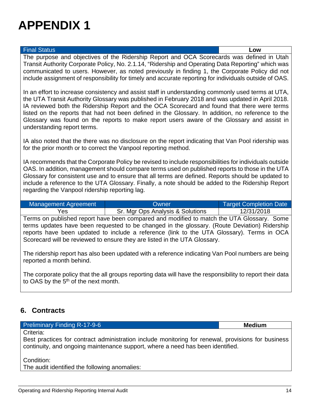#### Final Status **Low**

The purpose and objectives of the Ridership Report and OCA Scorecards was defined in Utah Transit Authority Corporate Policy, No. 2.1.14, "Ridership and Operating Data Reporting" which was communicated to users. However, as noted previously in finding 1, the Corporate Policy did not include assignment of responsibility for timely and accurate reporting for individuals outside of OAS.

In an effort to increase consistency and assist staff in understanding commonly used terms at UTA, the UTA Transit Authority Glossary was published in February 2018 and was updated in April 2018. IA reviewed both the Ridership Report and the OCA Scorecard and found that there were terms listed on the reports that had not been defined in the Glossary. In addition, no reference to the Glossary was found on the reports to make report users aware of the Glossary and assist in understanding report terms.

IA also noted that the there was no disclosure on the report indicating that Van Pool ridership was for the prior month or to correct the Vanpool reporting method.

IA recommends that the Corporate Policy be revised to include responsibilities for individuals outside OAS. In addition, management should compare terms used on published reports to those in the UTA Glossary for consistent use and to ensure that all terms are defined. Reports should be updated to include a reference to the UTA Glossary. Finally, a note should be added to the Ridership Report regarding the Vanpool ridership reporting lag.

| Management Agreement | Owner                            | Target Completion Date |
|----------------------|----------------------------------|------------------------|
| Yes                  | Sr. Mgr Ops Analysis & Solutions | 12/31/2018             |

Terms on published report have been compared and modified to match the UTA Glossary. Some terms updates have been requested to be changed in the glossary. (Route Deviation) Ridership reports have been updated to include a reference (link to the UTA Glossary). Terms in OCA Scorecard will be reviewed to ensure they are listed in the UTA Glossary.

The ridership report has also been updated with a reference indicating Van Pool numbers are being reported a month behind.

The corporate policy that the all groups reporting data will have the responsibility to report their data to OAS by the 5<sup>th</sup> of the next month.

### <span id="page-14-0"></span>**6. Contracts**

#### Preliminary Finding R-17-9-6 **Medium**

Criteria:

Best practices for contract administration include monitoring for renewal, provisions for business continuity, and ongoing maintenance support, where a need has been identified.

Condition:

The audit identified the following anomalies: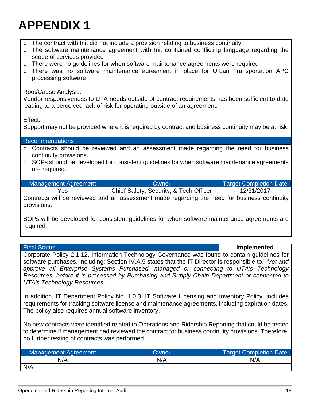- o The contract with Init did not include a provision relating to business continuity
- o The software maintenance agreement with Init contained conflicting language regarding the scope of services provided
- o There were no guidelines for when software maintenance agreements were required
- o There was no software maintenance agreement in place for Urban Transportation APC processing software

### Root/Cause Analysis:

Vendor responsiveness to UTA needs outside of contract requirements has been sufficient to date leading to a perceived lack of risk for operating outside of an agreement.

Effect:

Support may not be provided where it is required by contract and business continuity may be at risk.

| <b>Recommendations</b>                                                                                               |
|----------------------------------------------------------------------------------------------------------------------|
| o Contracts should be reviewed and an assessment made regarding the need for business<br>continuity provisions.      |
| $\circ$ SOPs should be developed for consistent guidelines for when software maintenance agreements<br>are required. |

| Management Agreement | Owner                                  | <b>Target Completion Date</b> |
|----------------------|----------------------------------------|-------------------------------|
| Yes                  | Chief Safety, Security, & Tech Officer | 12/31/2017                    |

Contracts will be reviewed and an assessment made regarding the need for business continuity provisions.

SOPs will be developed for consistent guidelines for when software maintenance agreements are required.

Final Status **Implemented**

Corporate Policy 2.1.12, Information Technology Governance was found to contain guidelines for software purchases, including: Section IV.A.5 states that the IT Director is responsible to, "*Vet and approve all Enterprise Systems Purchased, managed or connecting to UTA's Technology Resources, before it is processed by Purchasing and Supply Chain Department or connected to UTA's Technology Resources."*

In addition, IT Department Policy No. 1.0.3, IT Software Licensing and Inventory Policy, includes requirements for tracking software license and maintenance agreements, including expiration dates. The policy also requires annual software inventory.

No new contracts were identified related to Operations and Ridership Reporting that could be tested to determine if management had reviewed the contract for business continuity provisions. Therefore, no further testing of contracts was performed.

| <b>Management Agreement</b> | Owner | Target Completion Date |
|-----------------------------|-------|------------------------|
| N/A                         | N/A   | N/A                    |
| N/A                         |       |                        |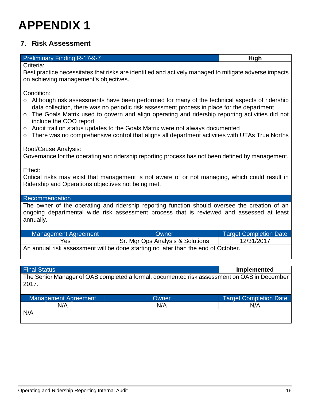### <span id="page-16-0"></span>**7. Risk Assessment**

#### Preliminary Finding R-17-9-7 **High**

Criteria:

Best practice necessitates that risks are identified and actively managed to mitigate adverse impacts on achieving management's objectives.

Condition:

- o Although risk assessments have been performed for many of the technical aspects of ridership data collection, there was no periodic risk assessment process in place for the department
- o The Goals Matrix used to govern and align operating and ridership reporting activities did not include the COO report
- o Audit trail on status updates to the Goals Matrix were not always documented
- o There was no comprehensive control that aligns all department activities with UTAs True Norths

#### Root/Cause Analysis:

Governance for the operating and ridership reporting process has not been defined by management.

Effect:

Critical risks may exist that management is not aware of or not managing, which could result in Ridership and Operations objectives not being met.

#### Recommendation

The owner of the operating and ridership reporting function should oversee the creation of an ongoing departmental wide risk assessment process that is reviewed and assessed at least annually.

| Management Agreement                                                              | Owner                            | <b>Target Completion Date</b> |
|-----------------------------------------------------------------------------------|----------------------------------|-------------------------------|
| Yes                                                                               | Sr. Mgr Ops Analysis & Solutions | 12/31/2017                    |
| An annual risk assessment will be done starting no later than the end of October. |                                  |                               |

Final Status **Implemented** The Senior Manager of OAS completed a formal, documented risk assessment on OAS in December 2017. Management Agreement National Completion Date Completion Date

| <b>Management Agreement</b> | owner | <b>Target Completion Date</b> |
|-----------------------------|-------|-------------------------------|
| N/A                         | N/A   | N/A                           |
| N/A                         |       |                               |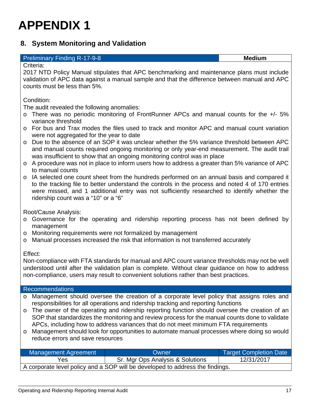### <span id="page-17-0"></span>**8. System Monitoring and Validation**

#### **Preliminary Finding R-17-9-8 Medium Medium Medium**

Criteria:

2017 NTD Policy Manual stipulates that APC benchmarking and maintenance plans must include validation of APC data against a manual sample and that the difference between manual and APC counts must be less than 5%.

Condition:

The audit revealed the following anomalies:

- o There was no periodic monitoring of FrontRunner APCs and manual counts for the +/- 5% variance threshold
- o For bus and Trax modes the files used to track and monitor APC and manual count variation were not aggregated for the year to date
- o Due to the absence of an SOP it was unclear whether the 5% variance threshold between APC and manual counts required ongoing monitoring or only year-end measurement. The audit trail was insufficient to show that an ongoing monitoring control was in place
- o A procedure was not in place to inform users how to address a greater than 5% variance of APC to manual counts
- o IA selected one count sheet from the hundreds performed on an annual basis and compared it to the tracking file to better understand the controls in the process and noted 4 of 170 entries were missed, and 1 additional entry was not sufficiently researched to identify whether the ridership count was a "10" or a "6"

Root/Cause Analysis:

- o Governance for the operating and ridership reporting process has not been defined by management
- o Monitoring requirements were not formalized by management
- o Manual processes increased the risk that information is not transferred accurately

#### Effect:

Non-compliance with FTA standards for manual and APC count variance thresholds may not be well understood until after the validation plan is complete. Without clear guidance on how to address non-compliance, users may result to convenient solutions rather than best practices.

#### Recommendations

- o Management should oversee the creation of a corporate level policy that assigns roles and responsibilities for all operations and ridership tracking and reporting functions
- o The owner of the operating and ridership reporting function should oversee the creation of an SOP that standardizes the monitoring and review process for the manual counts done to validate APCs, including how to address variances that do not meet minimum FTA requirements
- o Management should look for opportunities to automate manual processes where doing so would reduce errors and save resources

| Management Agreement                                                          | <b>Owner</b>                     | Target Completion Date |
|-------------------------------------------------------------------------------|----------------------------------|------------------------|
| Yes.                                                                          | Sr. Mgr Ops Analysis & Solutions | 12/31/2017             |
| A corporate level policy and a SOP will be developed to address the findings. |                                  |                        |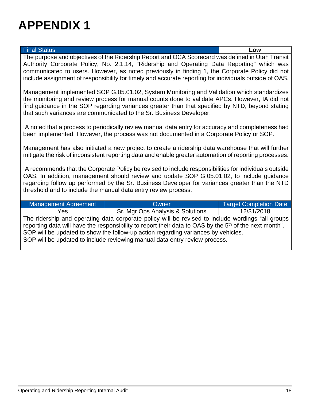#### Final Status **Low**

The purpose and objectives of the Ridership Report and OCA Scorecard was defined in Utah Transit Authority Corporate Policy, No. 2.1.14, "Ridership and Operating Data Reporting" which was communicated to users. However, as noted previously in finding 1, the Corporate Policy did not include assignment of responsibility for timely and accurate reporting for individuals outside of OAS.

Management implemented SOP G.05.01.02, System Monitoring and Validation which standardizes the monitoring and review process for manual counts done to validate APCs. However, IA did not find guidance in the SOP regarding variances greater than that specified by NTD, beyond stating that such variances are communicated to the Sr. Business Developer.

IA noted that a process to periodically review manual data entry for accuracy and completeness had been implemented. However, the process was not documented in a Corporate Policy or SOP.

Management has also initiated a new project to create a ridership data warehouse that will further mitigate the risk of inconsistent reporting data and enable greater automation of reporting processes.

IA recommends that the Corporate Policy be revised to include responsibilities for individuals outside OAS. In addition, management should review and update SOP G.05.01.02, to include guidance regarding follow up performed by the Sr. Business Developer for variances greater than the NTD threshold and to include the manual data entry review process.

| Management Agreement | Owner                                                                                                                                                                                                                                                                                                                                                                                      | <b>Target Completion Date</b> |
|----------------------|--------------------------------------------------------------------------------------------------------------------------------------------------------------------------------------------------------------------------------------------------------------------------------------------------------------------------------------------------------------------------------------------|-------------------------------|
| Yes                  | Sr. Mgr Ops Analysis & Solutions                                                                                                                                                                                                                                                                                                                                                           | 12/31/2018                    |
|                      | The ridership and operating data corporate policy will be revised to include wordings "all groups<br>reporting data will have the responsibility to report their data to OAS by the 5 <sup>th</sup> of the next month".<br>SOP will be updated to show the follow-up action regarding variances by vehicles.<br>SOP will be updated to include reviewing manual data entry review process. |                               |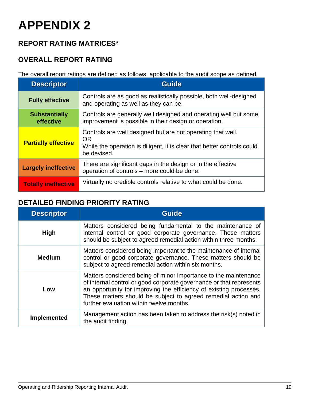### <span id="page-19-0"></span>**REPORT RATING MATRICES\***

### **OVERALL REPORT RATING**

The overall report ratings are defined as follows, applicable to the audit scope as defined

| <b>Descriptor</b>                 | <b>Guide</b>                                                                                                                                                       |
|-----------------------------------|--------------------------------------------------------------------------------------------------------------------------------------------------------------------|
| <b>Fully effective</b>            | Controls are as good as realistically possible, both well-designed<br>and operating as well as they can be.                                                        |
| <b>Substantially</b><br>effective | Controls are generally well designed and operating well but some<br>improvement is possible in their design or operation.                                          |
| <b>Partially effective</b>        | Controls are well designed but are not operating that well.<br><b>OR</b><br>While the operation is diligent, it is clear that better controls could<br>be devised. |
| <b>Largely ineffective</b>        | There are significant gaps in the design or in the effective<br>operation of controls – more could be done.                                                        |
| <b>Totally ineffective</b>        | Virtually no credible controls relative to what could be done.                                                                                                     |

### **DETAILED FINDING PRIORITY RATING**

| <b>Descriptor</b>  | <b>Guide</b>                                                                                                                                                                                                                                                                                                              |
|--------------------|---------------------------------------------------------------------------------------------------------------------------------------------------------------------------------------------------------------------------------------------------------------------------------------------------------------------------|
| <b>High</b>        | Matters considered being fundamental to the maintenance of<br>internal control or good corporate governance. These matters<br>should be subject to agreed remedial action within three months.                                                                                                                            |
| <b>Medium</b>      | Matters considered being important to the maintenance of internal<br>control or good corporate governance. These matters should be<br>subject to agreed remedial action within six months.                                                                                                                                |
| Low                | Matters considered being of minor importance to the maintenance<br>of internal control or good corporate governance or that represents<br>an opportunity for improving the efficiency of existing processes.<br>These matters should be subject to agreed remedial action and<br>further evaluation within twelve months. |
| <b>Implemented</b> | Management action has been taken to address the risk(s) noted in<br>the audit finding.                                                                                                                                                                                                                                    |